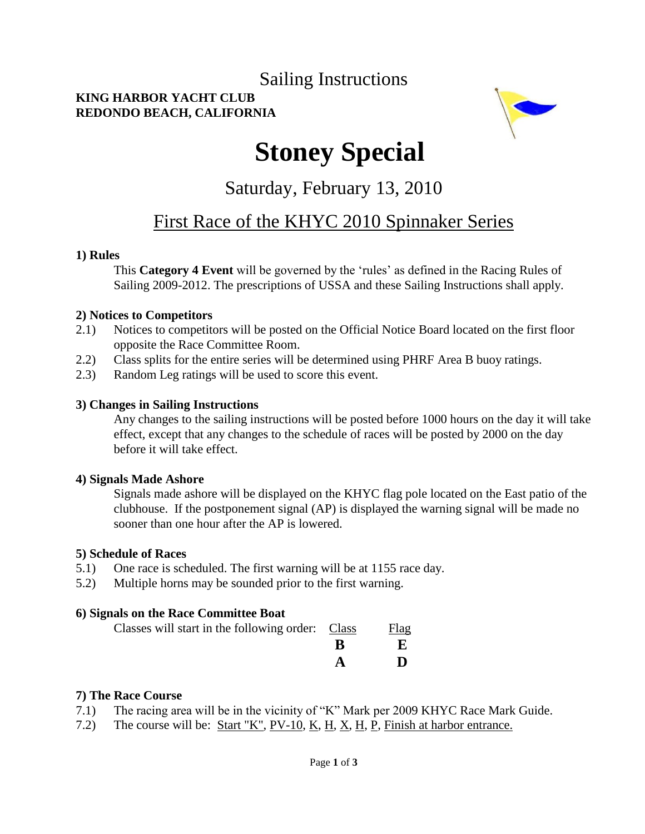### Sailing Instructions

#### **KING HARBOR YACHT CLUB REDONDO BEACH, CALIFORNIA**



# **Stoney Special**

Saturday, February 13, 2010

## First Race of the KHYC 2010 Spinnaker Series

#### **1) Rules**

This **Category 4 Event** will be governed by the "rules" as defined in the Racing Rules of Sailing 2009-2012. The prescriptions of USSA and these Sailing Instructions shall apply.

#### **2) Notices to Competitors**

- 2.1) Notices to competitors will be posted on the Official Notice Board located on the first floor opposite the Race Committee Room.
- 2.2) Class splits for the entire series will be determined using PHRF Area B buoy ratings.
- 2.3) Random Leg ratings will be used to score this event.

#### **3) Changes in Sailing Instructions**

Any changes to the sailing instructions will be posted before 1000 hours on the day it will take effect, except that any changes to the schedule of races will be posted by 2000 on the day before it will take effect.

#### **4) Signals Made Ashore**

Signals made ashore will be displayed on the KHYC flag pole located on the East patio of the clubhouse. If the postponement signal (AP) is displayed the warning signal will be made no sooner than one hour after the AP is lowered.

#### **5) Schedule of Races**

- 5.1) One race is scheduled. The first warning will be at 1155 race day.
- 5.2) Multiple horns may be sounded prior to the first warning.

#### **6) Signals on the Race Committee Boat**

| Classes will start in the following order: Class | Flag |
|--------------------------------------------------|------|
|                                                  |      |
|                                                  | Ð    |

#### **7) The Race Course**

- 7.1) The racing area will be in the vicinity of "K" Mark per 2009 KHYC Race Mark Guide.
- 7.2) The course will be: Start "K", PV-10, K, H, X, H, P, Finish at harbor entrance.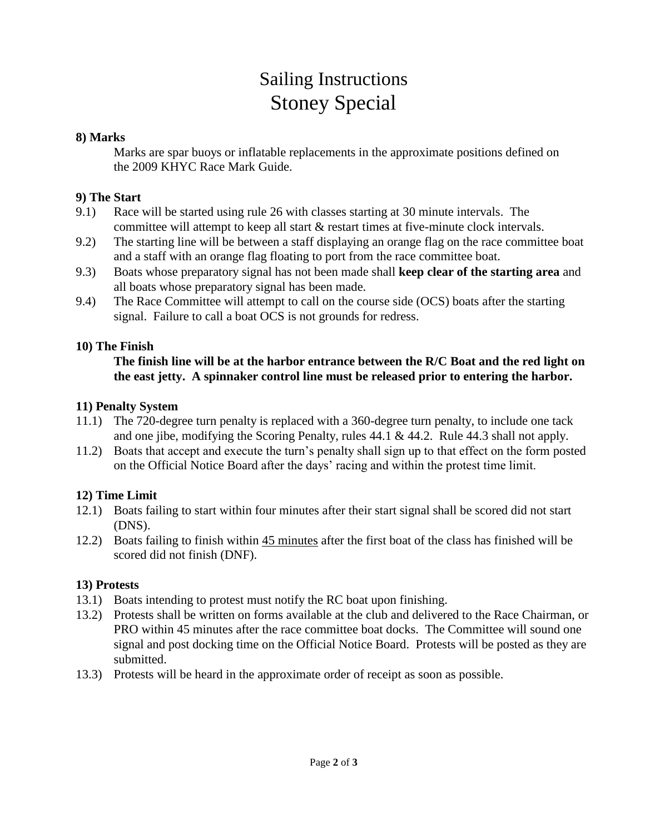## Sailing Instructions Stoney Special

#### **8) Marks**

Marks are spar buoys or inflatable replacements in the approximate positions defined on the 2009 KHYC Race Mark Guide.

#### **9) The Start**

- 9.1) Race will be started using rule 26 with classes starting at 30 minute intervals. The committee will attempt to keep all start & restart times at five-minute clock intervals.
- 9.2) The starting line will be between a staff displaying an orange flag on the race committee boat and a staff with an orange flag floating to port from the race committee boat.
- 9.3) Boats whose preparatory signal has not been made shall **keep clear of the starting area** and all boats whose preparatory signal has been made.
- 9.4) The Race Committee will attempt to call on the course side (OCS) boats after the starting signal. Failure to call a boat OCS is not grounds for redress.

#### **10) The Finish**

#### **The finish line will be at the harbor entrance between the R/C Boat and the red light on the east jetty. A spinnaker control line must be released prior to entering the harbor.**

#### **11) Penalty System**

- 11.1) The 720-degree turn penalty is replaced with a 360-degree turn penalty, to include one tack and one jibe, modifying the Scoring Penalty, rules 44.1 & 44.2. Rule 44.3 shall not apply.
- 11.2) Boats that accept and execute the turn"s penalty shall sign up to that effect on the form posted on the Official Notice Board after the days" racing and within the protest time limit.

#### **12) Time Limit**

- 12.1) Boats failing to start within four minutes after their start signal shall be scored did not start (DNS).
- 12.2) Boats failing to finish within 45 minutes after the first boat of the class has finished will be scored did not finish (DNF).

#### **13) Protests**

- 13.1) Boats intending to protest must notify the RC boat upon finishing.
- 13.2) Protests shall be written on forms available at the club and delivered to the Race Chairman, or PRO within 45 minutes after the race committee boat docks. The Committee will sound one signal and post docking time on the Official Notice Board. Protests will be posted as they are submitted.
- 13.3) Protests will be heard in the approximate order of receipt as soon as possible.